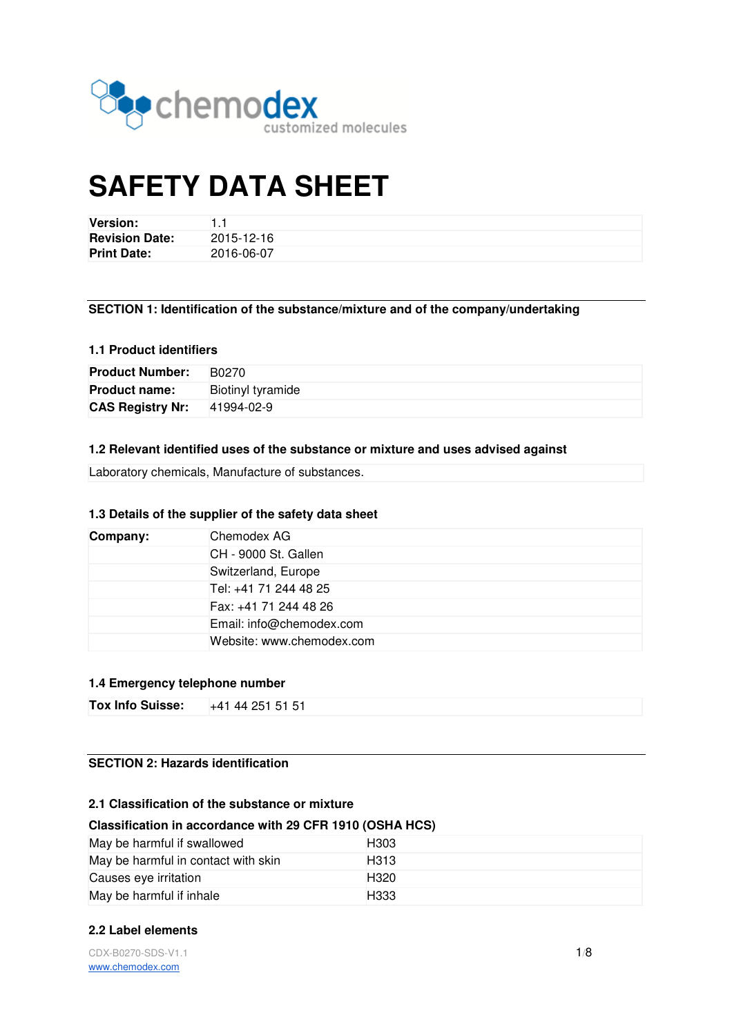

# **SAFETY DATA SHEET**

| <b>Version:</b>       |            |
|-----------------------|------------|
| <b>Revision Date:</b> | 2015-12-16 |
| <b>Print Date:</b>    | 2016-06-07 |

## **SECTION 1: Identification of the substance/mixture and of the company/undertaking**

#### **1.1 Product identifiers**

| <b>Product Number:</b>  | B0270             |
|-------------------------|-------------------|
| <b>Product name:</b>    | Biotinyl tyramide |
| <b>CAS Registry Nr:</b> | 41994-02-9        |

#### **1.2 Relevant identified uses of the substance or mixture and uses advised against**

Laboratory chemicals, Manufacture of substances.

## **1.3 Details of the supplier of the safety data sheet**

| Company: | Chemodex AG               |
|----------|---------------------------|
|          | CH - 9000 St. Gallen      |
|          | Switzerland, Europe       |
|          | Tel: +41 71 244 48 25     |
|          | Fax: +41 71 244 48 26     |
|          | Email: info@chemodex.com  |
|          | Website: www.chemodex.com |

## **1.4 Emergency telephone number**

| Tox Info Suisse:<br>+41 44 251 51 51 |
|--------------------------------------|
|--------------------------------------|

## **SECTION 2: Hazards identification**

## **2.1 Classification of the substance or mixture**

#### **Classification in accordance with 29 CFR 1910 (OSHA HCS)**

| May be harmful if swallowed         | H303             |
|-------------------------------------|------------------|
| May be harmful in contact with skin | H313             |
| Causes eve irritation               | H <sub>320</sub> |
| May be harmful if inhale            | H333             |

## **2.2 Label elements**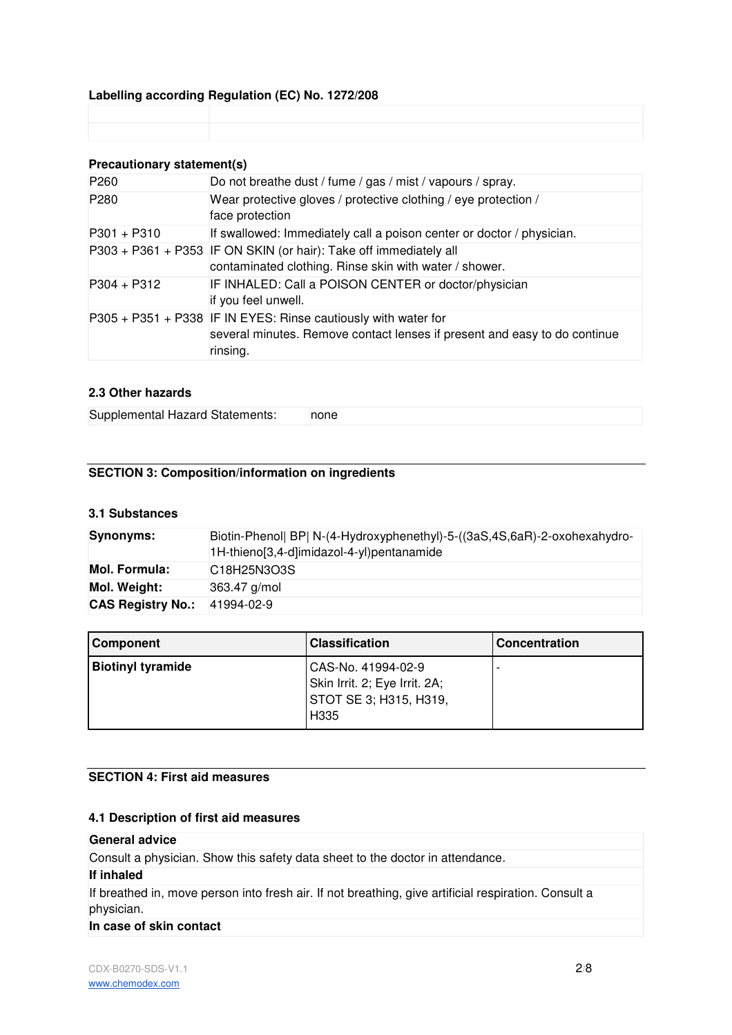## **Labelling according Regulation (EC) No. 1272/208**

## **Precautionary statement(s)**

| P <sub>260</sub> | Do not breathe dust / fume / gas / mist / vapours / spray.                                                                                              |
|------------------|---------------------------------------------------------------------------------------------------------------------------------------------------------|
| P280             | Wear protective gloves / protective clothing / eye protection /<br>face protection                                                                      |
| $P301 + P310$    | If swallowed: Immediately call a poison center or doctor / physician.                                                                                   |
|                  | P303 + P361 + P353 IF ON SKIN (or hair): Take off immediately all<br>contaminated clothing. Rinse skin with water / shower.                             |
| $P304 + P312$    | IF INHALED: Call a POISON CENTER or doctor/physician<br>if you feel unwell.                                                                             |
|                  | P305 + P351 + P338 IF IN EYES: Rinse cautiously with water for<br>several minutes. Remove contact lenses if present and easy to do continue<br>rinsing. |

## **2.3 Other hazards**

Supplemental Hazard Statements: none

## **SECTION 3: Composition/information on ingredients**

## **3.1 Substances**

| <b>Synonyms:</b>         | Biotin-Phenol  BP  N-(4-Hydroxyphenethyl)-5-((3aS,4S,6aR)-2-oxohexahydro-<br>1H-thieno[3,4-d]imidazol-4-yl)pentanamide |
|--------------------------|------------------------------------------------------------------------------------------------------------------------|
| Mol. Formula:            | C <sub>18</sub> H <sub>25</sub> N <sub>3</sub> O <sub>3</sub> S                                                        |
| Mol. Weight:             | 363.47 g/mol                                                                                                           |
| <b>CAS Registry No.:</b> | 41994-02-9                                                                                                             |

| <b>Component</b>         | <b>Classification</b>                                                                 | <b>Concentration</b> |
|--------------------------|---------------------------------------------------------------------------------------|----------------------|
| <b>Biotinyl tyramide</b> | CAS-No. 41994-02-9<br>Skin Irrit. 2; Eye Irrit. 2A;<br>STOT SE 3; H315, H319.<br>H335 |                      |

## **SECTION 4: First aid measures**

#### **4.1 Description of first aid measures**

#### **General advice**

Consult a physician. Show this safety data sheet to the doctor in attendance.

#### **If inhaled**

If breathed in, move person into fresh air. If not breathing, give artificial respiration. Consult a physician.

## **In case of skin contact**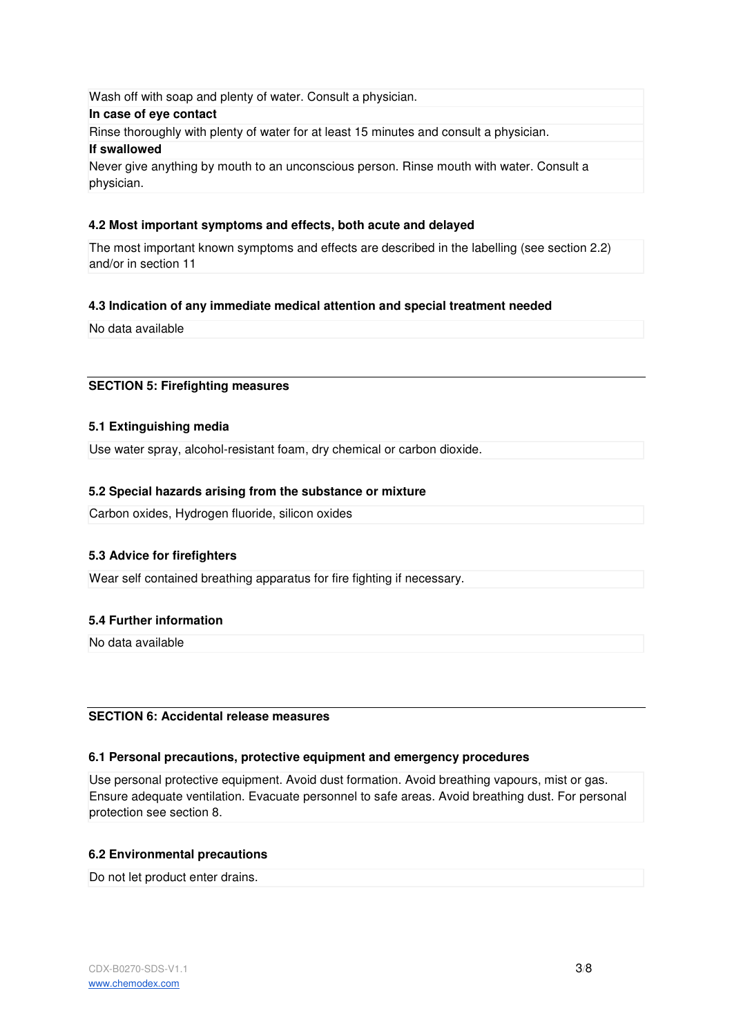Wash off with soap and plenty of water. Consult a physician. **In case of eye contact** Rinse thoroughly with plenty of water for at least 15 minutes and consult a physician. **If swallowed** Never give anything by mouth to an unconscious person. Rinse mouth with water. Consult a physician.

## **4.2 Most important symptoms and effects, both acute and delayed**

The most important known symptoms and effects are described in the labelling (see section 2.2) and/or in section 11

## **4.3 Indication of any immediate medical attention and special treatment needed**

No data available

#### **SECTION 5: Firefighting measures**

#### **5.1 Extinguishing media**

Use water spray, alcohol-resistant foam, dry chemical or carbon dioxide.

#### **5.2 Special hazards arising from the substance or mixture**

Carbon oxides, Hydrogen fluoride, silicon oxides

## **5.3 Advice for firefighters**

Wear self contained breathing apparatus for fire fighting if necessary.

## **5.4 Further information**

No data available

## **SECTION 6: Accidental release measures**

#### **6.1 Personal precautions, protective equipment and emergency procedures**

Use personal protective equipment. Avoid dust formation. Avoid breathing vapours, mist or gas. Ensure adequate ventilation. Evacuate personnel to safe areas. Avoid breathing dust. For personal protection see section 8.

## **6.2 Environmental precautions**

Do not let product enter drains.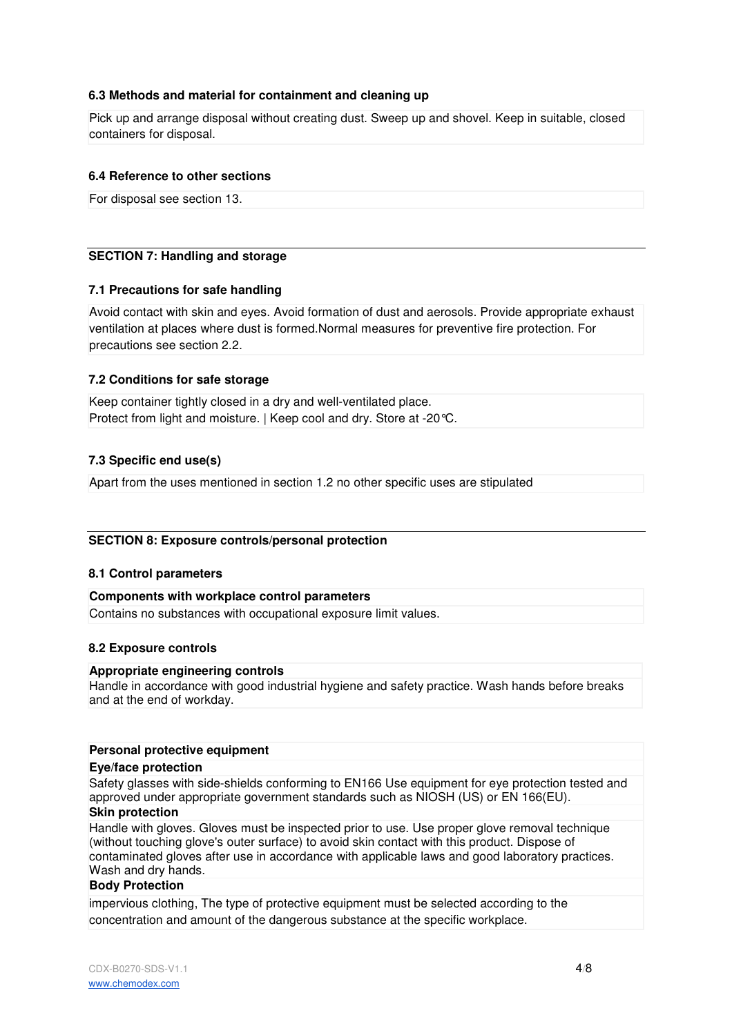## **6.3 Methods and material for containment and cleaning up**

Pick up and arrange disposal without creating dust. Sweep up and shovel. Keep in suitable, closed containers for disposal.

#### **6.4 Reference to other sections**

For disposal see section 13.

## **SECTION 7: Handling and storage**

#### **7.1 Precautions for safe handling**

Avoid contact with skin and eyes. Avoid formation of dust and aerosols. Provide appropriate exhaust ventilation at places where dust is formed.Normal measures for preventive fire protection. For precautions see section 2.2.

#### **7.2 Conditions for safe storage**

Keep container tightly closed in a dry and well-ventilated place. Protect from light and moisture. | Keep cool and dry. Store at -20°C.

#### **7.3 Specific end use(s)**

Apart from the uses mentioned in section 1.2 no other specific uses are stipulated

#### **SECTION 8: Exposure controls/personal protection**

#### **8.1 Control parameters**

#### **Components with workplace control parameters**

Contains no substances with occupational exposure limit values.

#### **8.2 Exposure controls**

#### **Appropriate engineering controls**

Handle in accordance with good industrial hygiene and safety practice. Wash hands before breaks and at the end of workday.

#### **Personal protective equipment**

#### **Eye/face protection**

Safety glasses with side-shields conforming to EN166 Use equipment for eye protection tested and approved under appropriate government standards such as NIOSH (US) or EN 166(EU).

## **Skin protection**

Handle with gloves. Gloves must be inspected prior to use. Use proper glove removal technique (without touching glove's outer surface) to avoid skin contact with this product. Dispose of contaminated gloves after use in accordance with applicable laws and good laboratory practices. Wash and dry hands.

## **Body Protection**

impervious clothing, The type of protective equipment must be selected according to the concentration and amount of the dangerous substance at the specific workplace.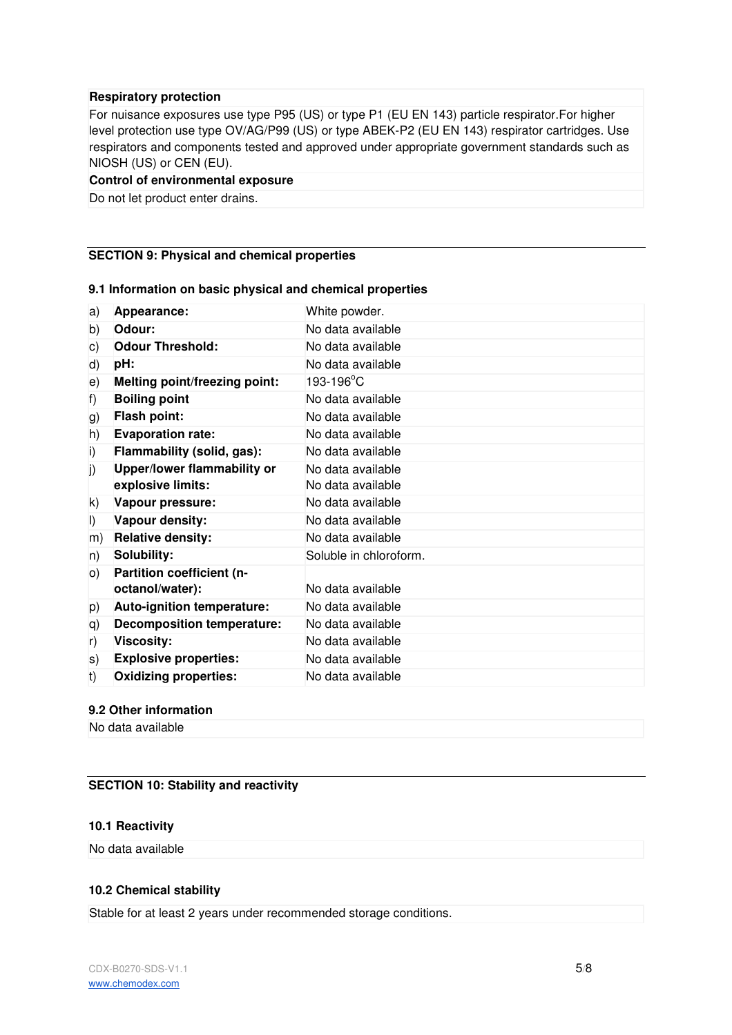#### **Respiratory protection**

For nuisance exposures use type P95 (US) or type P1 (EU EN 143) particle respirator.For higher level protection use type OV/AG/P99 (US) or type ABEK-P2 (EU EN 143) respirator cartridges. Use respirators and components tested and approved under appropriate government standards such as NIOSH (US) or CEN (EU).

#### **Control of environmental exposure**

Do not let product enter drains.

## **SECTION 9: Physical and chemical properties**

## a) **Appearance:** White powder. b) **Odour:** No data available c) **Odour Threshold:** No data available d) **pH:** No data available e) Melting point/freezing point: 193-196°C f) **Boiling point** No data available g) **Flash point:** No data available h) **Evaporation rate:** No data available i) **Flammability (solid, gas):** No data available j) **Upper/lower flammability or explosive limits:** No data available No data available k) **Vapour pressure:** No data available l) **Vapour density:** No data available m) **Relative density:** No data available n) **Solubility:** Soluble in chloroform. o) **Partition coefficient (noctanol/water):** No data available p) **Auto-ignition temperature:** No data available q) **Decomposition temperature:** No data available r) **Viscosity:** No data available s) **Explosive properties:** No data available t) **Oxidizing properties:** No data available

## **9.1 Information on basic physical and chemical properties**

#### **9.2 Other information**

No data available

## **SECTION 10: Stability and reactivity**

#### **10.1 Reactivity**

No data available

## **10.2 Chemical stability**

Stable for at least 2 years under recommended storage conditions.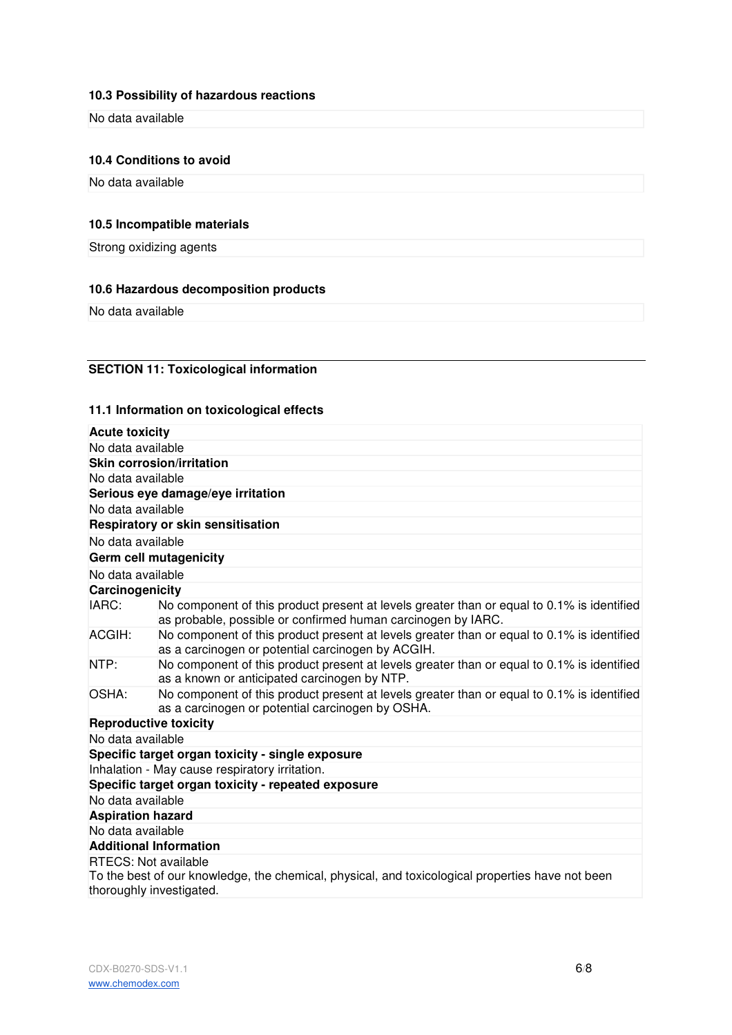## **10.3 Possibility of hazardous reactions**

No data available

#### **10.4 Conditions to avoid**

No data available

## **10.5 Incompatible materials**

Strong oxidizing agents

#### **10.6 Hazardous decomposition products**

No data available

## **SECTION 11: Toxicological information**

## **11.1 Information on toxicological effects**

| <b>Acute toxicity</b>                                   |                                                                                                                                                            |
|---------------------------------------------------------|------------------------------------------------------------------------------------------------------------------------------------------------------------|
| No data available                                       |                                                                                                                                                            |
|                                                         | <b>Skin corrosion/irritation</b>                                                                                                                           |
| No data available                                       |                                                                                                                                                            |
|                                                         | Serious eye damage/eye irritation                                                                                                                          |
| No data available                                       |                                                                                                                                                            |
|                                                         | Respiratory or skin sensitisation                                                                                                                          |
| No data available                                       |                                                                                                                                                            |
|                                                         | Germ cell mutagenicity                                                                                                                                     |
| No data available                                       |                                                                                                                                                            |
| Carcinogenicity                                         |                                                                                                                                                            |
| IARC:                                                   | No component of this product present at levels greater than or equal to 0.1% is identified<br>as probable, possible or confirmed human carcinogen by IARC. |
| ACGIH:                                                  | No component of this product present at levels greater than or equal to 0.1% is identified<br>as a carcinogen or potential carcinogen by ACGIH.            |
| NTP:                                                    | No component of this product present at levels greater than or equal to 0.1% is identified<br>as a known or anticipated carcinogen by NTP.                 |
| OSHA:                                                   | No component of this product present at levels greater than or equal to 0.1% is identified<br>as a carcinogen or potential carcinogen by OSHA.             |
| <b>Reproductive toxicity</b>                            |                                                                                                                                                            |
| No data available                                       |                                                                                                                                                            |
|                                                         | Specific target organ toxicity - single exposure                                                                                                           |
|                                                         | Inhalation - May cause respiratory irritation.                                                                                                             |
|                                                         | Specific target organ toxicity - repeated exposure                                                                                                         |
| No data available                                       |                                                                                                                                                            |
| <b>Aspiration hazard</b>                                |                                                                                                                                                            |
| No data available                                       |                                                                                                                                                            |
| <b>Additional Information</b>                           |                                                                                                                                                            |
| <b>RTECS: Not available</b><br>thoroughly investigated. | To the best of our knowledge, the chemical, physical, and toxicological properties have not been                                                           |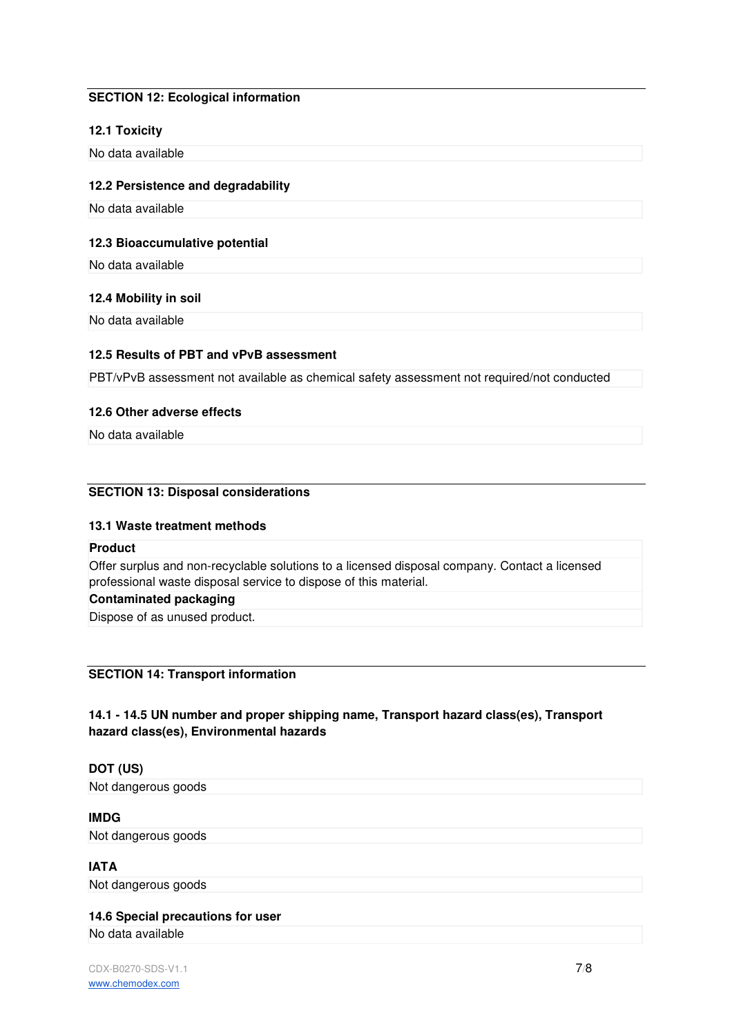## **SECTION 12: Ecological information**

## **12.1 Toxicity**

No data available

#### **12.2 Persistence and degradability**

No data available

## **12.3 Bioaccumulative potential**

No data available

#### **12.4 Mobility in soil**

No data available

## **12.5 Results of PBT and vPvB assessment**

PBT/vPvB assessment not available as chemical safety assessment not required/not conducted

#### **12.6 Other adverse effects**

No data available

## **SECTION 13: Disposal considerations**

## **13.1 Waste treatment methods**

#### **Product**

Offer surplus and non-recyclable solutions to a licensed disposal company. Contact a licensed professional waste disposal service to dispose of this material.

## **Contaminated packaging**

Dispose of as unused product.

## **SECTION 14: Transport information**

## **14.1 - 14.5 UN number and proper shipping name, Transport hazard class(es), Transport hazard class(es), Environmental hazards**

## **DOT (US)**

Not dangerous goods

#### **IMDG**

Not dangerous goods

## **IATA**

Not dangerous goods

## **14.6 Special precautions for user**

No data available